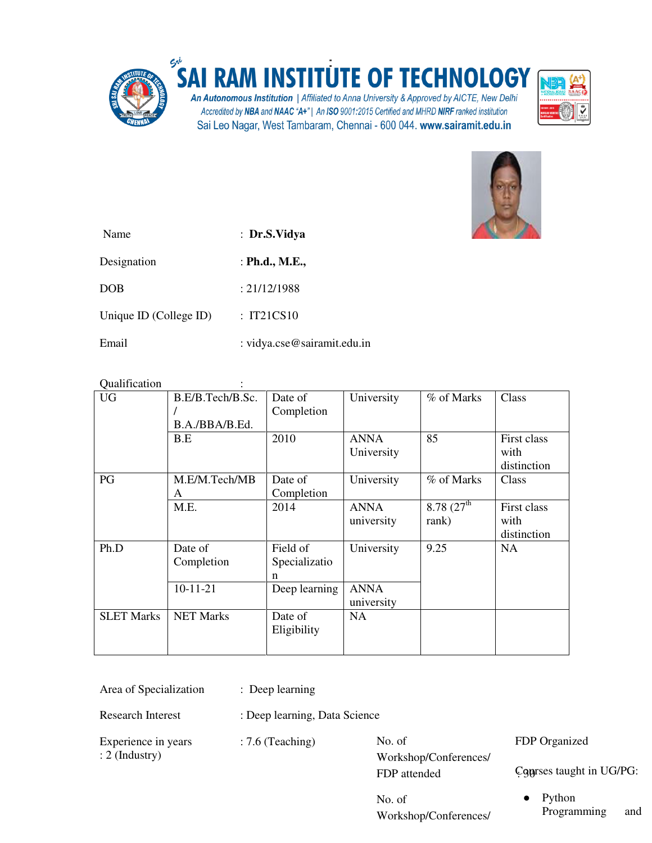

## **RAM INSTITUTE OF TECHNOLOGY SA**

An Autonomous Institution | Affiliated to Anna University & Approved by AICTE, New Delhi Accredited by NBA and NAAC "A+" | An ISO 9001:2015 Certified and MHRD NIRF ranked institution Sai Leo Nagar, West Tambaram, Chennai - 600 044. www.sairamit.edu.in





| Name                   | : Dr.S.Vidya                |
|------------------------|-----------------------------|
| Designation            | : Ph.d., M.E.,              |
| DOB                    | : 21/12/1988                |
| Unique ID (College ID) | : IT21CS10                  |
| Email                  | : vidya.cse@sairamit.edu.in |

| Qualification     |                                    |                                |                           |                                  |                                    |
|-------------------|------------------------------------|--------------------------------|---------------------------|----------------------------------|------------------------------------|
| <b>UG</b>         | B.E/B.Tech/B.Sc.<br>B.A./BBA/B.Ed. | Date of<br>Completion          | University                | % of Marks                       | Class                              |
|                   | B.E                                | 2010                           | <b>ANNA</b><br>University | 85                               | First class<br>with<br>distinction |
| PG                | M.E/M.Tech/MB<br>A                 | Date of<br>Completion          | University                | % of Marks                       | Class                              |
|                   | M.E.                               | 2014                           | ANNA<br>university        | 8.78(27 <sup>th</sup> )<br>rank) | First class<br>with<br>distinction |
| Ph.D              | Date of<br>Completion              | Field of<br>Specializatio<br>n | University                | 9.25                             | <b>NA</b>                          |
|                   | $10-11-21$                         | Deep learning                  | <b>ANNA</b><br>university |                                  |                                    |
| <b>SLET Marks</b> | <b>NET Marks</b>                   | Date of<br>Eligibility         | NA                        |                                  |                                    |

| Area of Specialization | : Deep learning |
|------------------------|-----------------|
|                        |                 |

Research Interest : Deep learning, Data Science

Experience in years : 7.6 (Teaching) : 2 (Industry)

No. of Workshop/Conferences/ FDP attended

No. of Workshop/Conferences/ FDP Organized

Courses taught in UG/PG:

● Python Programming and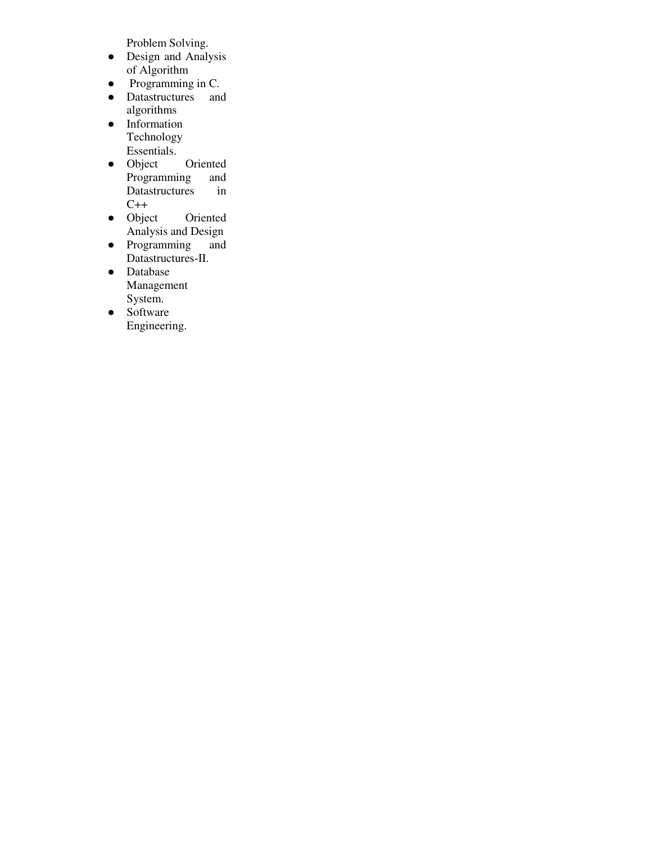Problem Solving.

- Design and Analysis of Algorithm
- Programming in C.
- Datastructures and algorithms
- Information Technology Essentials.
- Object Oriented Programming and<br>Datastructures in Datastructures  $C++$
- Object Oriented Analysis and Design
- Programming and Datastructures-II.
- Database Management System.
- Software Engineering.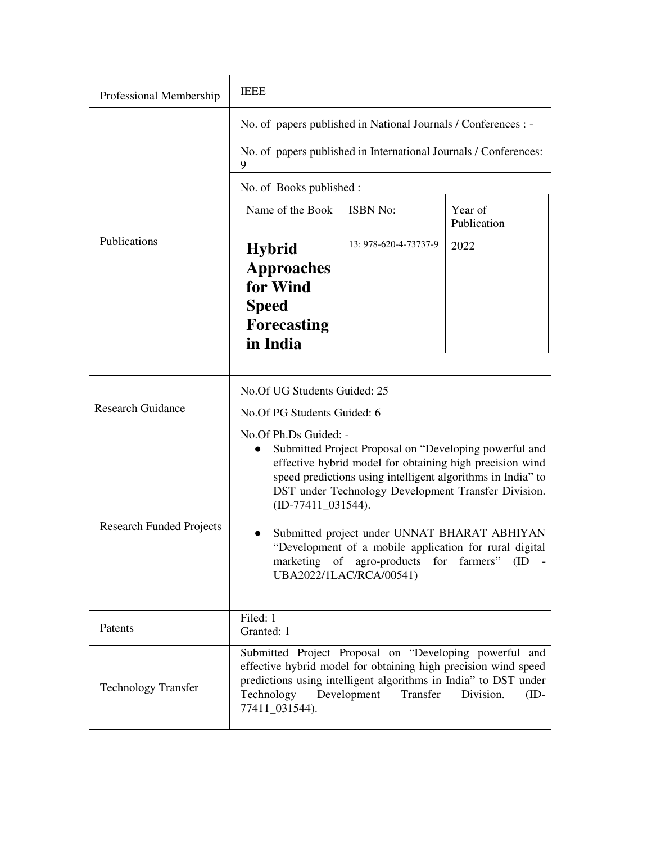| Professional Membership         | <b>IEEE</b>                                                                                      |                                                                                                                                                                                                                                                                                                                                                                                                                    |                        |  |  |
|---------------------------------|--------------------------------------------------------------------------------------------------|--------------------------------------------------------------------------------------------------------------------------------------------------------------------------------------------------------------------------------------------------------------------------------------------------------------------------------------------------------------------------------------------------------------------|------------------------|--|--|
| Publications                    | No. of papers published in National Journals / Conferences : -                                   |                                                                                                                                                                                                                                                                                                                                                                                                                    |                        |  |  |
|                                 | No. of papers published in International Journals / Conferences:<br>9                            |                                                                                                                                                                                                                                                                                                                                                                                                                    |                        |  |  |
|                                 | No. of Books published :                                                                         |                                                                                                                                                                                                                                                                                                                                                                                                                    |                        |  |  |
|                                 | Name of the Book                                                                                 | <b>ISBN No:</b>                                                                                                                                                                                                                                                                                                                                                                                                    | Year of<br>Publication |  |  |
|                                 | <b>Hybrid</b><br><b>Approaches</b><br>for Wind<br><b>Speed</b><br><b>Forecasting</b><br>in India | 13: 978-620-4-73737-9                                                                                                                                                                                                                                                                                                                                                                                              | 2022                   |  |  |
| <b>Research Guidance</b>        | No. Of UG Students Guided: 25<br>No. Of PG Students Guided: 6<br>No.Of Ph.Ds Guided: -           |                                                                                                                                                                                                                                                                                                                                                                                                                    |                        |  |  |
| <b>Research Funded Projects</b> | $\bullet$<br>$(ID-77411_031544).$                                                                | Submitted Project Proposal on "Developing powerful and<br>effective hybrid model for obtaining high precision wind<br>speed predictions using intelligent algorithms in India" to<br>DST under Technology Development Transfer Division.<br>Submitted project under UNNAT BHARAT ABHIYAN<br>"Development of a mobile application for rural digital<br>marketing of agro-products<br>for<br>UBA2022/1LAC/RCA/00541) | farmers"<br>(ID        |  |  |
| Patents                         | Filed: 1<br>Granted: 1                                                                           |                                                                                                                                                                                                                                                                                                                                                                                                                    |                        |  |  |
| <b>Technology Transfer</b>      | predictions using intelligent algorithms in India" to DST under<br>Technology<br>77411_031544).  | Submitted Project Proposal on "Developing powerful and<br>effective hybrid model for obtaining high precision wind speed<br>Transfer<br>Development                                                                                                                                                                                                                                                                | Division.<br>$(ID -$   |  |  |